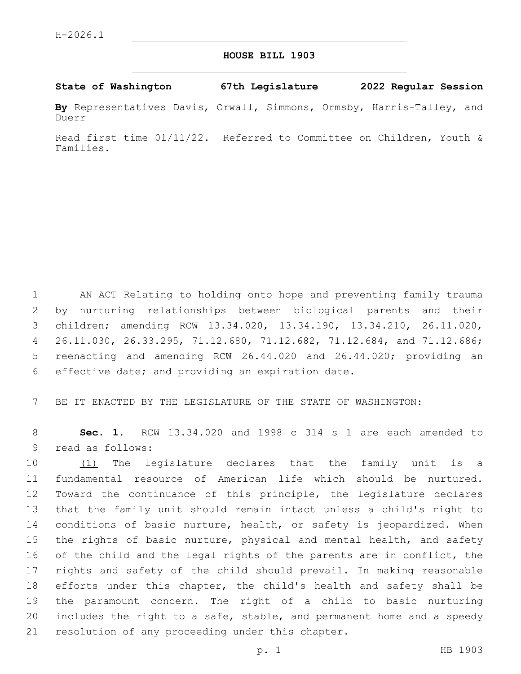## **HOUSE BILL 1903**

**State of Washington 67th Legislature 2022 Regular Session**

**By** Representatives Davis, Orwall, Simmons, Ormsby, Harris-Talley, and Duerr

Read first time 01/11/22. Referred to Committee on Children, Youth & Families.

 AN ACT Relating to holding onto hope and preventing family trauma by nurturing relationships between biological parents and their children; amending RCW 13.34.020, 13.34.190, 13.34.210, 26.11.020, 26.11.030, 26.33.295, 71.12.680, 71.12.682, 71.12.684, and 71.12.686; reenacting and amending RCW 26.44.020 and 26.44.020; providing an 6 effective date; and providing an expiration date.

7 BE IT ENACTED BY THE LEGISLATURE OF THE STATE OF WASHINGTON:

8 **Sec. 1.** RCW 13.34.020 and 1998 c 314 s 1 are each amended to 9 read as follows:

10 (1) The legislature declares that the family unit is a fundamental resource of American life which should be nurtured. Toward the continuance of this principle, the legislature declares that the family unit should remain intact unless a child's right to conditions of basic nurture, health, or safety is jeopardized. When the rights of basic nurture, physical and mental health, and safety of the child and the legal rights of the parents are in conflict, the rights and safety of the child should prevail. In making reasonable efforts under this chapter, the child's health and safety shall be the paramount concern. The right of a child to basic nurturing includes the right to a safe, stable, and permanent home and a speedy 21 resolution of any proceeding under this chapter.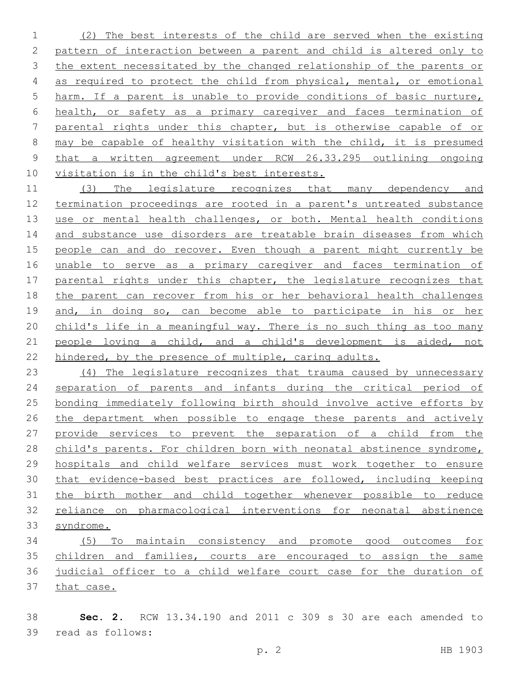(2) The best interests of the child are served when the existing pattern of interaction between a parent and child is altered only to 3 the extent necessitated by the changed relationship of the parents or as required to protect the child from physical, mental, or emotional harm. If a parent is unable to provide conditions of basic nurture, health, or safety as a primary caregiver and faces termination of 7 parental rights under this chapter, but is otherwise capable of or may be capable of healthy visitation with the child, it is presumed that a written agreement under RCW 26.33.295 outlining ongoing visitation is in the child's best interests.

 (3) The legislature recognizes that many dependency and termination proceedings are rooted in a parent's untreated substance 13 use or mental health challenges, or both. Mental health conditions 14 and substance use disorders are treatable brain diseases from which people can and do recover. Even though a parent might currently be unable to serve as a primary caregiver and faces termination of 17 parental rights under this chapter, the legislature recognizes that the parent can recover from his or her behavioral health challenges and, in doing so, can become able to participate in his or her 20 child's life in a meaningful way. There is no such thing as too many people loving a child, and a child's development is aided, not hindered, by the presence of multiple, caring adults.

 (4) The legislature recognizes that trauma caused by unnecessary separation of parents and infants during the critical period of bonding immediately following birth should involve active efforts by the department when possible to engage these parents and actively provide services to prevent the separation of a child from the child's parents. For children born with neonatal abstinence syndrome, hospitals and child welfare services must work together to ensure that evidence-based best practices are followed, including keeping the birth mother and child together whenever possible to reduce reliance on pharmacological interventions for neonatal abstinence syndrome.

 (5) To maintain consistency and promote good outcomes for children and families, courts are encouraged to assign the same judicial officer to a child welfare court case for the duration of that case.

 **Sec. 2.** RCW 13.34.190 and 2011 c 309 s 30 are each amended to 39 read as follows: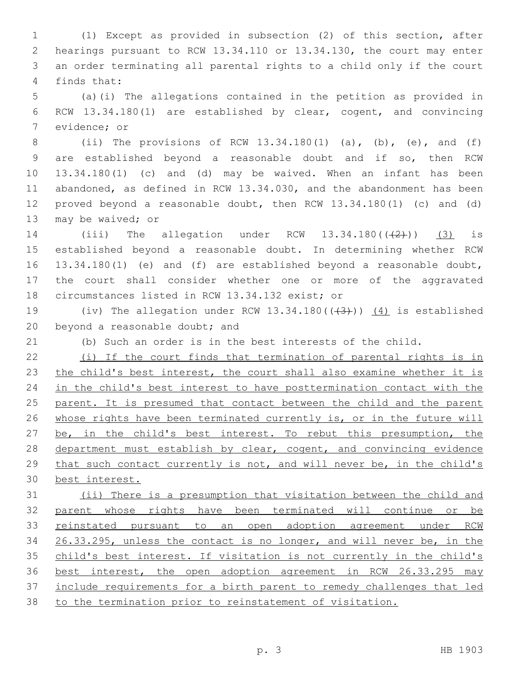(1) Except as provided in subsection (2) of this section, after hearings pursuant to RCW 13.34.110 or 13.34.130, the court may enter an order terminating all parental rights to a child only if the court 4 finds that:

 (a)(i) The allegations contained in the petition as provided in RCW 13.34.180(1) are established by clear, cogent, and convincing 7 evidence; or

 (ii) The provisions of RCW 13.34.180(1) (a), (b), (e), and (f) are established beyond a reasonable doubt and if so, then RCW 13.34.180(1) (c) and (d) may be waived. When an infant has been abandoned, as defined in RCW 13.34.030, and the abandonment has been proved beyond a reasonable doubt, then RCW 13.34.180(1) (c) and (d) 13 may be waived; or

14 (iii) The allegation under RCW  $13.34.180((\frac{2}{2}))$  (3) is established beyond a reasonable doubt. In determining whether RCW 13.34.180(1) (e) and (f) are established beyond a reasonable doubt, the court shall consider whether one or more of the aggravated 18 circumstances listed in RCW 13.34.132 exist; or

19 (iv) The allegation under RCW  $13.34.180((\frac{43}{1}))$   $\frac{(4)}{1}$  is established 20 beyond a reasonable doubt; and

(b) Such an order is in the best interests of the child.

 (i) If the court finds that termination of parental rights is in 23 the child's best interest, the court shall also examine whether it is in the child's best interest to have posttermination contact with the parent. It is presumed that contact between the child and the parent 26 whose rights have been terminated currently is, or in the future will 27 be, in the child's best interest. To rebut this presumption, the 28 department must establish by clear, cogent, and convincing evidence that such contact currently is not, and will never be, in the child's best interest.

 (ii) There is a presumption that visitation between the child and parent whose rights have been terminated will continue or be reinstated pursuant to an open adoption agreement under RCW 26.33.295, unless the contact is no longer, and will never be, in the child's best interest. If visitation is not currently in the child's best interest, the open adoption agreement in RCW 26.33.295 may include requirements for a birth parent to remedy challenges that led to the termination prior to reinstatement of visitation.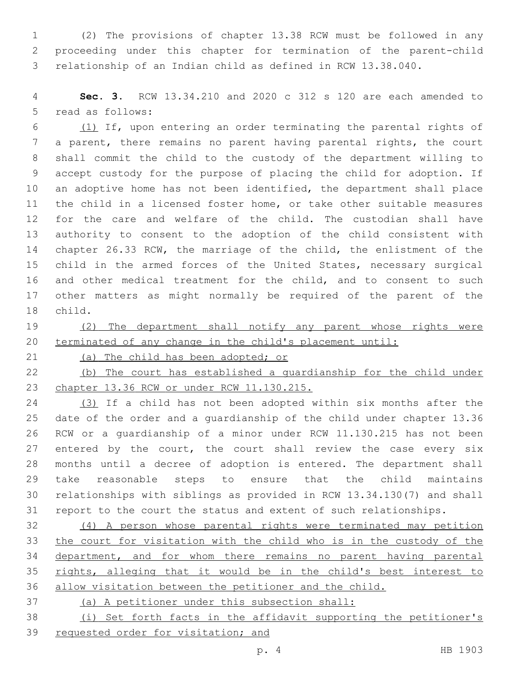(2) The provisions of chapter 13.38 RCW must be followed in any proceeding under this chapter for termination of the parent-child relationship of an Indian child as defined in RCW 13.38.040.

 **Sec. 3.** RCW 13.34.210 and 2020 c 312 s 120 are each amended to 5 read as follows:

 (1) If, upon entering an order terminating the parental rights of a parent, there remains no parent having parental rights, the court shall commit the child to the custody of the department willing to accept custody for the purpose of placing the child for adoption. If an adoptive home has not been identified, the department shall place the child in a licensed foster home, or take other suitable measures for the care and welfare of the child. The custodian shall have authority to consent to the adoption of the child consistent with chapter 26.33 RCW, the marriage of the child, the enlistment of the child in the armed forces of the United States, necessary surgical and other medical treatment for the child, and to consent to such other matters as might normally be required of the parent of the 18 child.

19 (2) The department shall notify any parent whose rights were terminated of any change in the child's placement until:

21 (a) The child has been adopted; or

 (b) The court has established a guardianship for the child under chapter 13.36 RCW or under RCW 11.130.215.

 (3) If a child has not been adopted within six months after the date of the order and a guardianship of the child under chapter 13.36 RCW or a guardianship of a minor under RCW 11.130.215 has not been 27 entered by the court, the court shall review the case every six months until a decree of adoption is entered. The department shall take reasonable steps to ensure that the child maintains relationships with siblings as provided in RCW 13.34.130(7) and shall report to the court the status and extent of such relationships.

 (4) A person whose parental rights were terminated may petition the court for visitation with the child who is in the custody of the department, and for whom there remains no parent having parental rights, alleging that it would be in the child's best interest to allow visitation between the petitioner and the child.

(a) A petitioner under this subsection shall:

 (i) Set forth facts in the affidavit supporting the petitioner's requested order for visitation; and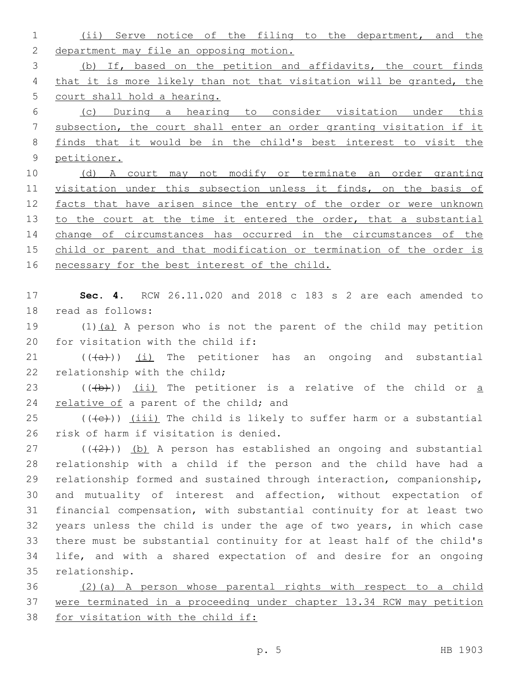(ii) Serve notice of the filing to the department, and the department may file an opposing motion. (b) If, based on the petition and affidavits, the court finds that it is more likely than not that visitation will be granted, the court shall hold a hearing.

 (c) During a hearing to consider visitation under this subsection, the court shall enter an order granting visitation if it finds that it would be in the child's best interest to visit the petitioner.

 (d) A court may not modify or terminate an order granting visitation under this subsection unless it finds, on the basis of 12 facts that have arisen since the entry of the order or were unknown 13 to the court at the time it entered the order, that a substantial change of circumstances has occurred in the circumstances of the child or parent and that modification or termination of the order is 16 necessary for the best interest of the child.

 **Sec. 4.** RCW 26.11.020 and 2018 c 183 s 2 are each amended to 18 read as follows:

 (1)(a) A person who is not the parent of the child may petition for visitation with the child if:

21  $((+a))$   $(i)$  The petitioner has an ongoing and substantial 22 relationship with the child;

23  $((+b))$   $(ii)$  The petitioner is a relative of the child or  $\underline{a}$ 24 relative of a parent of the child; and

 (( $\left(\text{+e}\right)$ ) (iii) The child is likely to suffer harm or a substantial 26 risk of harm if visitation is denied.

 ( $(\frac{2}{2})$ ) (b) A person has established an ongoing and substantial relationship with a child if the person and the child have had a relationship formed and sustained through interaction, companionship, and mutuality of interest and affection, without expectation of financial compensation, with substantial continuity for at least two years unless the child is under the age of two years, in which case there must be substantial continuity for at least half of the child's life, and with a shared expectation of and desire for an ongoing 35 relationship.

 (2)(a) A person whose parental rights with respect to a child were terminated in a proceeding under chapter 13.34 RCW may petition 38 for visitation with the child if: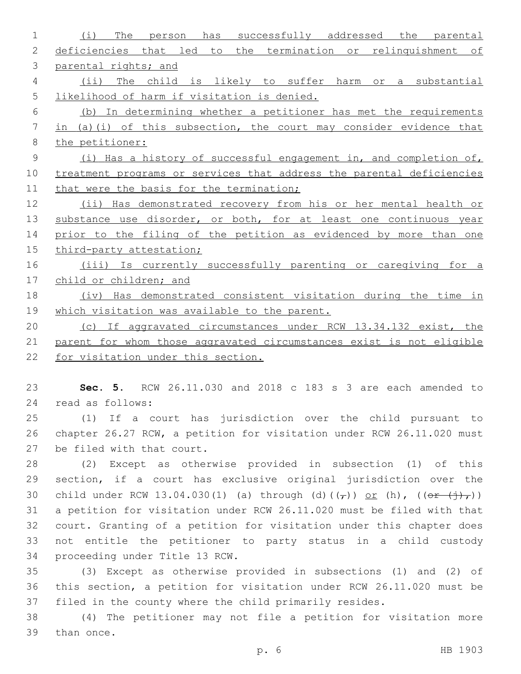(i) The person has successfully addressed the parental deficiencies that led to the termination or relinquishment of parental rights; and (ii) The child is likely to suffer harm or a substantial likelihood of harm if visitation is denied. (b) In determining whether a petitioner has met the requirements in (a)(i) of this subsection, the court may consider evidence that the petitioner: (i) Has a history of successful engagement in, and completion of, treatment programs or services that address the parental deficiencies 11 that were the basis for the termination; (ii) Has demonstrated recovery from his or her mental health or 13 substance use disorder, or both, for at least one continuous year 14 prior to the filing of the petition as evidenced by more than one third-party attestation; (iii) Is currently successfully parenting or caregiving for a 17 child or children; and (iv) Has demonstrated consistent visitation during the time in which visitation was available to the parent. (c) If aggravated circumstances under RCW 13.34.132 exist, the parent for whom those aggravated circumstances exist is not eligible for visitation under this section. **Sec. 5.** RCW 26.11.030 and 2018 c 183 s 3 are each amended to 24 read as follows: (1) If a court has jurisdiction over the child pursuant to chapter 26.27 RCW, a petition for visitation under RCW 26.11.020 must 27 be filed with that court. (2) Except as otherwise provided in subsection (1) of this section, if a court has exclusive original jurisdiction over the 30 child under RCW 13.04.030(1) (a) through (d)( $(\tau)$ ) or (h), ( $(\theta \tau + (\tau) \tau)$ ) a petition for visitation under RCW 26.11.020 must be filed with that court. Granting of a petition for visitation under this chapter does not entitle the petitioner to party status in a child custody 34 proceeding under Title 13 RCW. (3) Except as otherwise provided in subsections (1) and (2) of this section, a petition for visitation under RCW 26.11.020 must be filed in the county where the child primarily resides. (4) The petitioner may not file a petition for visitation more 39 than once.

p. 6 HB 1903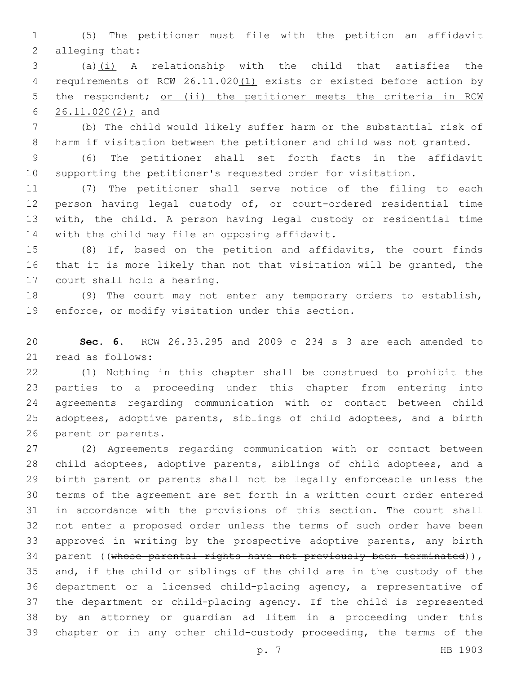(5) The petitioner must file with the petition an affidavit 2 alleging that:

 (a)(i) A relationship with the child that satisfies the 4 requirements of RCW 26.11.020(1) exists or existed before action by 5 the respondent; or (ii) the petitioner meets the criteria in RCW 6 26.11.020(2); and

 (b) The child would likely suffer harm or the substantial risk of harm if visitation between the petitioner and child was not granted.

 (6) The petitioner shall set forth facts in the affidavit supporting the petitioner's requested order for visitation.

 (7) The petitioner shall serve notice of the filing to each person having legal custody of, or court-ordered residential time with, the child. A person having legal custody or residential time 14 with the child may file an opposing affidavit.

 (8) If, based on the petition and affidavits, the court finds that it is more likely than not that visitation will be granted, the 17 court shall hold a hearing.

 (9) The court may not enter any temporary orders to establish, 19 enforce, or modify visitation under this section.

 **Sec. 6.** RCW 26.33.295 and 2009 c 234 s 3 are each amended to read as follows:21

 (1) Nothing in this chapter shall be construed to prohibit the parties to a proceeding under this chapter from entering into agreements regarding communication with or contact between child adoptees, adoptive parents, siblings of child adoptees, and a birth 26 parent or parents.

 (2) Agreements regarding communication with or contact between child adoptees, adoptive parents, siblings of child adoptees, and a birth parent or parents shall not be legally enforceable unless the terms of the agreement are set forth in a written court order entered in accordance with the provisions of this section. The court shall not enter a proposed order unless the terms of such order have been approved in writing by the prospective adoptive parents, any birth 34 parent ((whose parental rights have not previously been terminated)), and, if the child or siblings of the child are in the custody of the department or a licensed child-placing agency, a representative of the department or child-placing agency. If the child is represented by an attorney or guardian ad litem in a proceeding under this chapter or in any other child-custody proceeding, the terms of the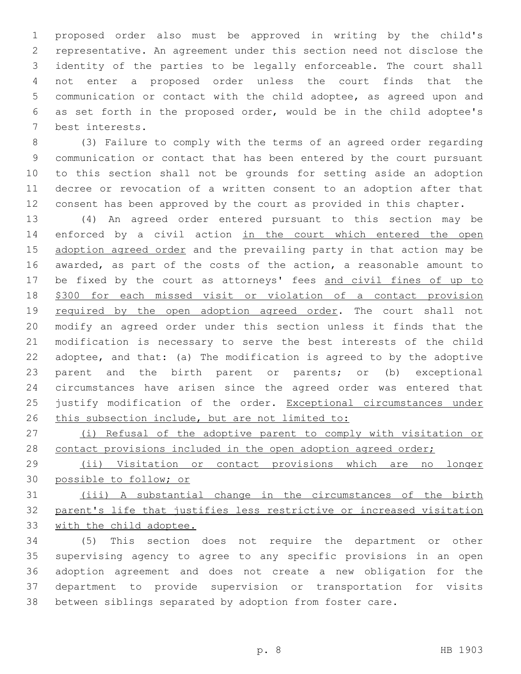proposed order also must be approved in writing by the child's representative. An agreement under this section need not disclose the identity of the parties to be legally enforceable. The court shall not enter a proposed order unless the court finds that the communication or contact with the child adoptee, as agreed upon and as set forth in the proposed order, would be in the child adoptee's 7 best interests.

 (3) Failure to comply with the terms of an agreed order regarding communication or contact that has been entered by the court pursuant to this section shall not be grounds for setting aside an adoption decree or revocation of a written consent to an adoption after that consent has been approved by the court as provided in this chapter.

 (4) An agreed order entered pursuant to this section may be 14 enforced by a civil action in the court which entered the open 15 adoption agreed order and the prevailing party in that action may be awarded, as part of the costs of the action, a reasonable amount to 17 be fixed by the court as attorneys' fees and civil fines of up to \$300 for each missed visit or violation of a contact provision 19 required by the open adoption agreed order. The court shall not modify an agreed order under this section unless it finds that the modification is necessary to serve the best interests of the child adoptee, and that: (a) The modification is agreed to by the adoptive parent and the birth parent or parents; or (b) exceptional circumstances have arisen since the agreed order was entered that 25 justify modification of the order. Exceptional circumstances under 26 this subsection include, but are not limited to:

 (i) Refusal of the adoptive parent to comply with visitation or 28 contact provisions included in the open adoption agreed order;

 (ii) Visitation or contact provisions which are no longer possible to follow; or

 (iii) A substantial change in the circumstances of the birth parent's life that justifies less restrictive or increased visitation with the child adoptee.

 (5) This section does not require the department or other supervising agency to agree to any specific provisions in an open adoption agreement and does not create a new obligation for the department to provide supervision or transportation for visits between siblings separated by adoption from foster care.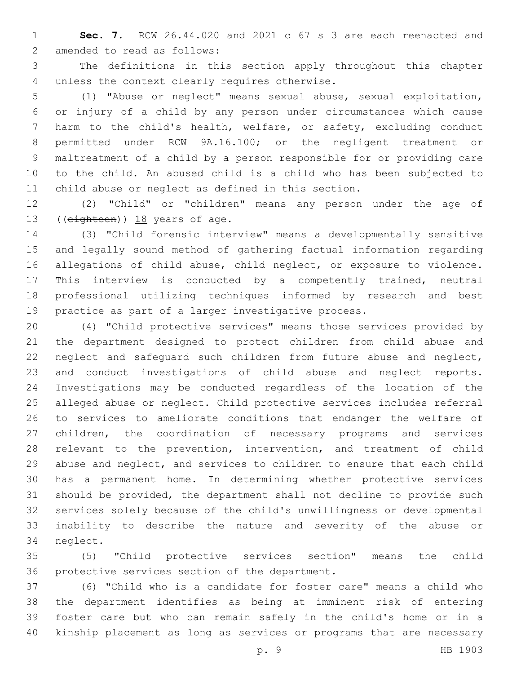**Sec. 7.** RCW 26.44.020 and 2021 c 67 s 3 are each reenacted and 2 amended to read as follows:

 The definitions in this section apply throughout this chapter 4 unless the context clearly requires otherwise.

 (1) "Abuse or neglect" means sexual abuse, sexual exploitation, or injury of a child by any person under circumstances which cause harm to the child's health, welfare, or safety, excluding conduct permitted under RCW 9A.16.100; or the negligent treatment or maltreatment of a child by a person responsible for or providing care to the child. An abused child is a child who has been subjected to child abuse or neglect as defined in this section.

 (2) "Child" or "children" means any person under the age of 13 (( $e$ ighteen)) 18 years of age.

 (3) "Child forensic interview" means a developmentally sensitive and legally sound method of gathering factual information regarding allegations of child abuse, child neglect, or exposure to violence. This interview is conducted by a competently trained, neutral professional utilizing techniques informed by research and best practice as part of a larger investigative process.

 (4) "Child protective services" means those services provided by the department designed to protect children from child abuse and neglect and safeguard such children from future abuse and neglect, and conduct investigations of child abuse and neglect reports. Investigations may be conducted regardless of the location of the alleged abuse or neglect. Child protective services includes referral to services to ameliorate conditions that endanger the welfare of children, the coordination of necessary programs and services relevant to the prevention, intervention, and treatment of child abuse and neglect, and services to children to ensure that each child has a permanent home. In determining whether protective services should be provided, the department shall not decline to provide such services solely because of the child's unwillingness or developmental inability to describe the nature and severity of the abuse or 34 neglect.

 (5) "Child protective services section" means the child 36 protective services section of the department.

 (6) "Child who is a candidate for foster care" means a child who the department identifies as being at imminent risk of entering foster care but who can remain safely in the child's home or in a kinship placement as long as services or programs that are necessary

p. 9 HB 1903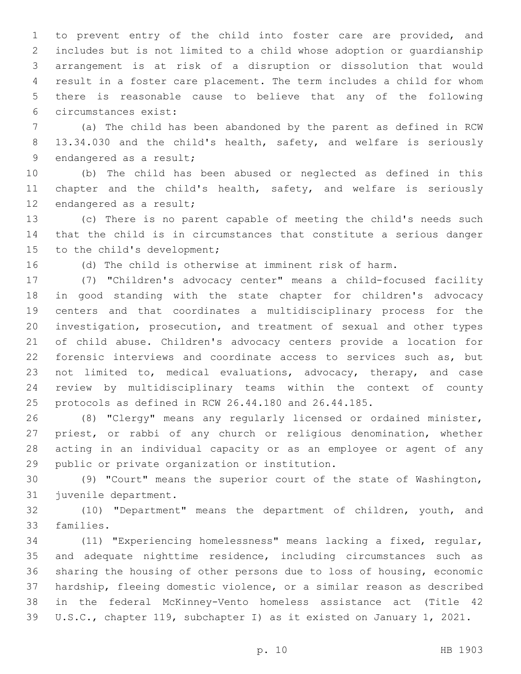to prevent entry of the child into foster care are provided, and includes but is not limited to a child whose adoption or guardianship arrangement is at risk of a disruption or dissolution that would result in a foster care placement. The term includes a child for whom there is reasonable cause to believe that any of the following circumstances exist:6

 (a) The child has been abandoned by the parent as defined in RCW 8 13.34.030 and the child's health, safety, and welfare is seriously 9 endangered as a result;

 (b) The child has been abused or neglected as defined in this chapter and the child's health, safety, and welfare is seriously 12 endangered as a result;

 (c) There is no parent capable of meeting the child's needs such that the child is in circumstances that constitute a serious danger 15 to the child's development;

(d) The child is otherwise at imminent risk of harm.

 (7) "Children's advocacy center" means a child-focused facility in good standing with the state chapter for children's advocacy centers and that coordinates a multidisciplinary process for the investigation, prosecution, and treatment of sexual and other types of child abuse. Children's advocacy centers provide a location for forensic interviews and coordinate access to services such as, but not limited to, medical evaluations, advocacy, therapy, and case review by multidisciplinary teams within the context of county protocols as defined in RCW 26.44.180 and 26.44.185.

 (8) "Clergy" means any regularly licensed or ordained minister, priest, or rabbi of any church or religious denomination, whether acting in an individual capacity or as an employee or agent of any 29 public or private organization or institution.

 (9) "Court" means the superior court of the state of Washington, 31 juvenile department.

 (10) "Department" means the department of children, youth, and 33 families.

 (11) "Experiencing homelessness" means lacking a fixed, regular, and adequate nighttime residence, including circumstances such as sharing the housing of other persons due to loss of housing, economic hardship, fleeing domestic violence, or a similar reason as described in the federal McKinney-Vento homeless assistance act (Title 42 U.S.C., chapter 119, subchapter I) as it existed on January 1, 2021.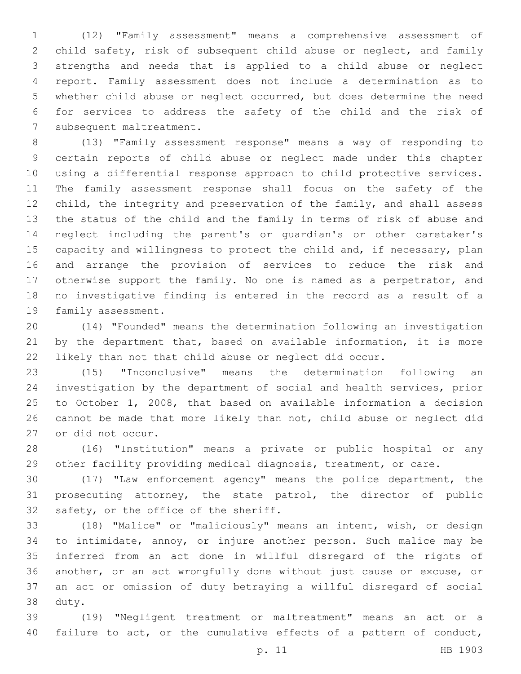(12) "Family assessment" means a comprehensive assessment of child safety, risk of subsequent child abuse or neglect, and family strengths and needs that is applied to a child abuse or neglect report. Family assessment does not include a determination as to whether child abuse or neglect occurred, but does determine the need for services to address the safety of the child and the risk of 7 subsequent maltreatment.

 (13) "Family assessment response" means a way of responding to certain reports of child abuse or neglect made under this chapter using a differential response approach to child protective services. The family assessment response shall focus on the safety of the 12 child, the integrity and preservation of the family, and shall assess the status of the child and the family in terms of risk of abuse and neglect including the parent's or guardian's or other caretaker's 15 capacity and willingness to protect the child and, if necessary, plan and arrange the provision of services to reduce the risk and otherwise support the family. No one is named as a perpetrator, and no investigative finding is entered in the record as a result of a 19 family assessment.

 (14) "Founded" means the determination following an investigation by the department that, based on available information, it is more likely than not that child abuse or neglect did occur.

 (15) "Inconclusive" means the determination following an investigation by the department of social and health services, prior to October 1, 2008, that based on available information a decision cannot be made that more likely than not, child abuse or neglect did 27 or did not occur.

 (16) "Institution" means a private or public hospital or any other facility providing medical diagnosis, treatment, or care.

 (17) "Law enforcement agency" means the police department, the prosecuting attorney, the state patrol, the director of public 32 safety, or the office of the sheriff.

 (18) "Malice" or "maliciously" means an intent, wish, or design to intimidate, annoy, or injure another person. Such malice may be inferred from an act done in willful disregard of the rights of another, or an act wrongfully done without just cause or excuse, or an act or omission of duty betraying a willful disregard of social 38 duty.

 (19) "Negligent treatment or maltreatment" means an act or a 40 failure to act, or the cumulative effects of a pattern of conduct,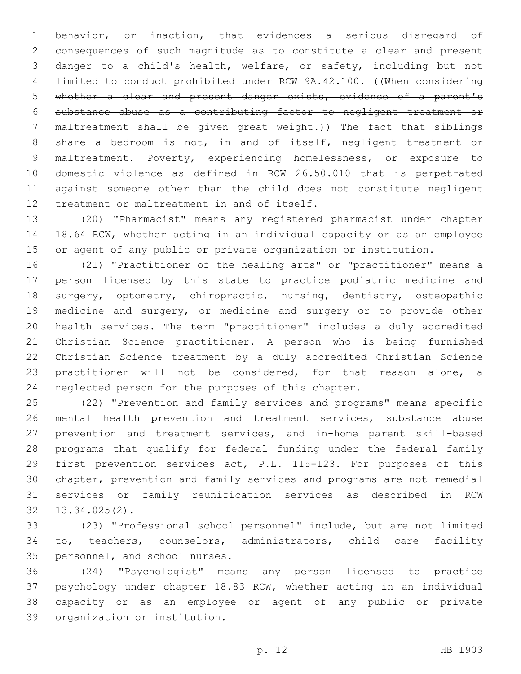behavior, or inaction, that evidences a serious disregard of consequences of such magnitude as to constitute a clear and present danger to a child's health, welfare, or safety, including but not limited to conduct prohibited under RCW 9A.42.100. ((When considering whether a clear and present danger exists, evidence of a parent's substance abuse as a contributing factor to negligent treatment or 7 maltreatment shall be given great weight.)) The fact that siblings share a bedroom is not, in and of itself, negligent treatment or maltreatment. Poverty, experiencing homelessness, or exposure to domestic violence as defined in RCW 26.50.010 that is perpetrated against someone other than the child does not constitute negligent 12 treatment or maltreatment in and of itself.

 (20) "Pharmacist" means any registered pharmacist under chapter 18.64 RCW, whether acting in an individual capacity or as an employee or agent of any public or private organization or institution.

 (21) "Practitioner of the healing arts" or "practitioner" means a person licensed by this state to practice podiatric medicine and 18 surgery, optometry, chiropractic, nursing, dentistry, osteopathic medicine and surgery, or medicine and surgery or to provide other health services. The term "practitioner" includes a duly accredited Christian Science practitioner. A person who is being furnished Christian Science treatment by a duly accredited Christian Science practitioner will not be considered, for that reason alone, a neglected person for the purposes of this chapter.

 (22) "Prevention and family services and programs" means specific mental health prevention and treatment services, substance abuse prevention and treatment services, and in-home parent skill-based programs that qualify for federal funding under the federal family first prevention services act, P.L. 115-123. For purposes of this chapter, prevention and family services and programs are not remedial services or family reunification services as described in RCW  $13.34.025(2)$ .

 (23) "Professional school personnel" include, but are not limited to, teachers, counselors, administrators, child care facility 35 personnel, and school nurses.

 (24) "Psychologist" means any person licensed to practice psychology under chapter 18.83 RCW, whether acting in an individual capacity or as an employee or agent of any public or private 39 organization or institution.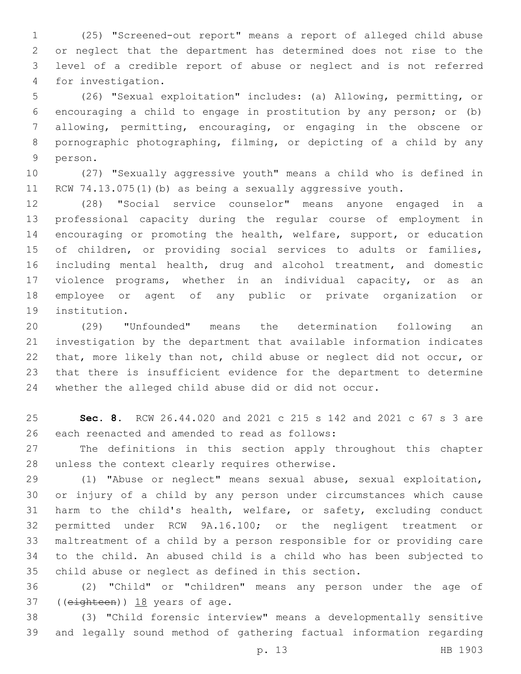(25) "Screened-out report" means a report of alleged child abuse or neglect that the department has determined does not rise to the level of a credible report of abuse or neglect and is not referred 4 for investigation.

 (26) "Sexual exploitation" includes: (a) Allowing, permitting, or encouraging a child to engage in prostitution by any person; or (b) allowing, permitting, encouraging, or engaging in the obscene or pornographic photographing, filming, or depicting of a child by any 9 person.

 (27) "Sexually aggressive youth" means a child who is defined in RCW 74.13.075(1)(b) as being a sexually aggressive youth.

 (28) "Social service counselor" means anyone engaged in a professional capacity during the regular course of employment in encouraging or promoting the health, welfare, support, or education of children, or providing social services to adults or families, including mental health, drug and alcohol treatment, and domestic violence programs, whether in an individual capacity, or as an employee or agent of any public or private organization or 19 institution.

 (29) "Unfounded" means the determination following an investigation by the department that available information indicates that, more likely than not, child abuse or neglect did not occur, or that there is insufficient evidence for the department to determine whether the alleged child abuse did or did not occur.

 **Sec. 8.** RCW 26.44.020 and 2021 c 215 s 142 and 2021 c 67 s 3 are 26 each reenacted and amended to read as follows:

 The definitions in this section apply throughout this chapter 28 unless the context clearly requires otherwise.

 (1) "Abuse or neglect" means sexual abuse, sexual exploitation, or injury of a child by any person under circumstances which cause harm to the child's health, welfare, or safety, excluding conduct permitted under RCW 9A.16.100; or the negligent treatment or maltreatment of a child by a person responsible for or providing care to the child. An abused child is a child who has been subjected to child abuse or neglect as defined in this section.

 (2) "Child" or "children" means any person under the age of ((eighteen))  $18$  years of age.

 (3) "Child forensic interview" means a developmentally sensitive and legally sound method of gathering factual information regarding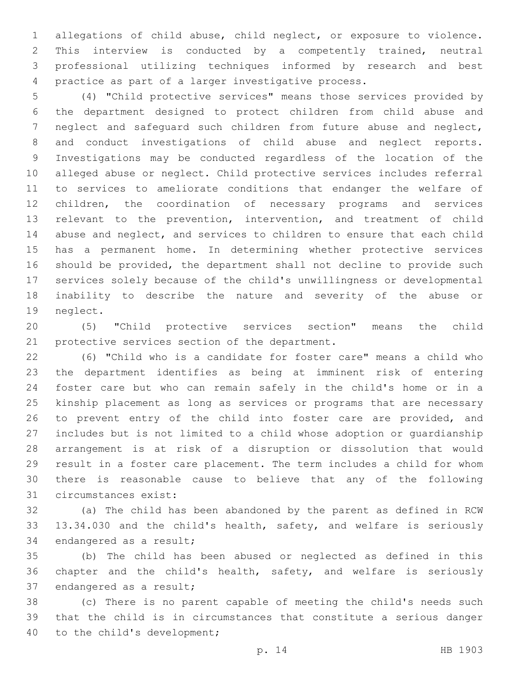allegations of child abuse, child neglect, or exposure to violence. This interview is conducted by a competently trained, neutral professional utilizing techniques informed by research and best practice as part of a larger investigative process.

 (4) "Child protective services" means those services provided by the department designed to protect children from child abuse and neglect and safeguard such children from future abuse and neglect, and conduct investigations of child abuse and neglect reports. Investigations may be conducted regardless of the location of the alleged abuse or neglect. Child protective services includes referral to services to ameliorate conditions that endanger the welfare of children, the coordination of necessary programs and services relevant to the prevention, intervention, and treatment of child abuse and neglect, and services to children to ensure that each child has a permanent home. In determining whether protective services should be provided, the department shall not decline to provide such services solely because of the child's unwillingness or developmental inability to describe the nature and severity of the abuse or 19 neglect.

 (5) "Child protective services section" means the child 21 protective services section of the department.

 (6) "Child who is a candidate for foster care" means a child who the department identifies as being at imminent risk of entering foster care but who can remain safely in the child's home or in a kinship placement as long as services or programs that are necessary to prevent entry of the child into foster care are provided, and includes but is not limited to a child whose adoption or guardianship arrangement is at risk of a disruption or dissolution that would result in a foster care placement. The term includes a child for whom there is reasonable cause to believe that any of the following 31 circumstances exist:

 (a) The child has been abandoned by the parent as defined in RCW 13.34.030 and the child's health, safety, and welfare is seriously 34 endangered as a result;

 (b) The child has been abused or neglected as defined in this chapter and the child's health, safety, and welfare is seriously 37 endangered as a result;

 (c) There is no parent capable of meeting the child's needs such that the child is in circumstances that constitute a serious danger 40 to the child's development;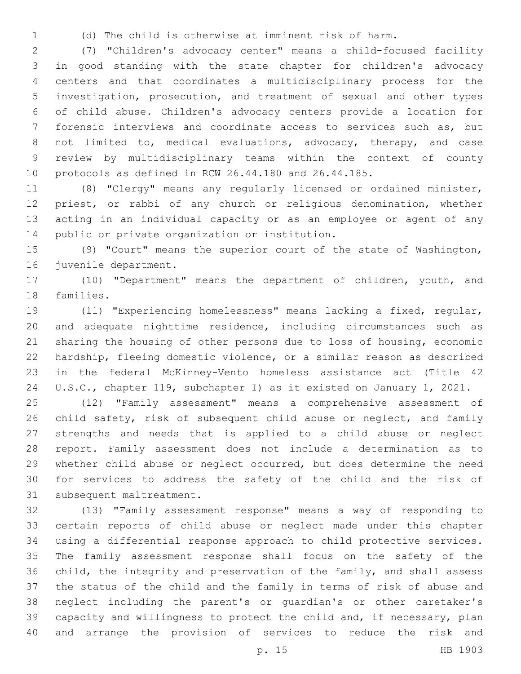(d) The child is otherwise at imminent risk of harm.

 (7) "Children's advocacy center" means a child-focused facility in good standing with the state chapter for children's advocacy centers and that coordinates a multidisciplinary process for the investigation, prosecution, and treatment of sexual and other types of child abuse. Children's advocacy centers provide a location for forensic interviews and coordinate access to services such as, but not limited to, medical evaluations, advocacy, therapy, and case review by multidisciplinary teams within the context of county protocols as defined in RCW 26.44.180 and 26.44.185.

 (8) "Clergy" means any regularly licensed or ordained minister, priest, or rabbi of any church or religious denomination, whether acting in an individual capacity or as an employee or agent of any 14 public or private organization or institution.

 (9) "Court" means the superior court of the state of Washington, 16 juvenile department.

 (10) "Department" means the department of children, youth, and 18 families.

 (11) "Experiencing homelessness" means lacking a fixed, regular, and adequate nighttime residence, including circumstances such as sharing the housing of other persons due to loss of housing, economic hardship, fleeing domestic violence, or a similar reason as described in the federal McKinney-Vento homeless assistance act (Title 42 U.S.C., chapter 119, subchapter I) as it existed on January 1, 2021.

 (12) "Family assessment" means a comprehensive assessment of 26 child safety, risk of subsequent child abuse or neglect, and family strengths and needs that is applied to a child abuse or neglect report. Family assessment does not include a determination as to whether child abuse or neglect occurred, but does determine the need for services to address the safety of the child and the risk of 31 subsequent maltreatment.

 (13) "Family assessment response" means a way of responding to certain reports of child abuse or neglect made under this chapter using a differential response approach to child protective services. The family assessment response shall focus on the safety of the child, the integrity and preservation of the family, and shall assess the status of the child and the family in terms of risk of abuse and neglect including the parent's or guardian's or other caretaker's capacity and willingness to protect the child and, if necessary, plan and arrange the provision of services to reduce the risk and

p. 15 HB 1903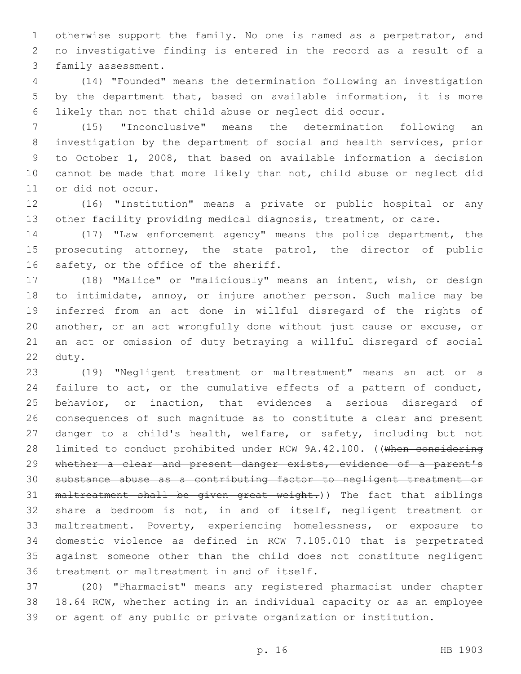otherwise support the family. No one is named as a perpetrator, and no investigative finding is entered in the record as a result of a 3 family assessment.

 (14) "Founded" means the determination following an investigation by the department that, based on available information, it is more likely than not that child abuse or neglect did occur.

 (15) "Inconclusive" means the determination following an investigation by the department of social and health services, prior to October 1, 2008, that based on available information a decision cannot be made that more likely than not, child abuse or neglect did 11 or did not occur.

 (16) "Institution" means a private or public hospital or any other facility providing medical diagnosis, treatment, or care.

 (17) "Law enforcement agency" means the police department, the prosecuting attorney, the state patrol, the director of public 16 safety, or the office of the sheriff.

 (18) "Malice" or "maliciously" means an intent, wish, or design 18 to intimidate, annoy, or injure another person. Such malice may be inferred from an act done in willful disregard of the rights of another, or an act wrongfully done without just cause or excuse, or an act or omission of duty betraying a willful disregard of social 22 duty.

 (19) "Negligent treatment or maltreatment" means an act or a failure to act, or the cumulative effects of a pattern of conduct, behavior, or inaction, that evidences a serious disregard of consequences of such magnitude as to constitute a clear and present danger to a child's health, welfare, or safety, including but not 28 limited to conduct prohibited under RCW 9A.42.100. ((When considering whether a clear and present danger exists, evidence of a parent's substance abuse as a contributing factor to negligent treatment or 31 maltreatment shall be given great weight.)) The fact that siblings share a bedroom is not, in and of itself, negligent treatment or maltreatment. Poverty, experiencing homelessness, or exposure to domestic violence as defined in RCW 7.105.010 that is perpetrated against someone other than the child does not constitute negligent 36 treatment or maltreatment in and of itself.

 (20) "Pharmacist" means any registered pharmacist under chapter 18.64 RCW, whether acting in an individual capacity or as an employee or agent of any public or private organization or institution.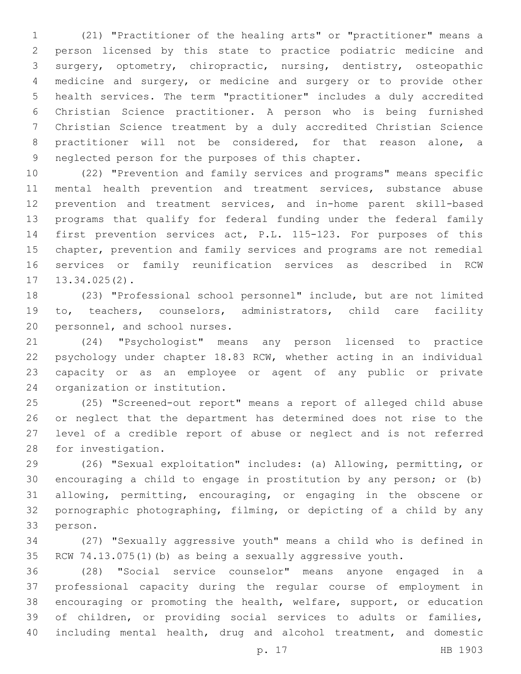(21) "Practitioner of the healing arts" or "practitioner" means a person licensed by this state to practice podiatric medicine and surgery, optometry, chiropractic, nursing, dentistry, osteopathic medicine and surgery, or medicine and surgery or to provide other health services. The term "practitioner" includes a duly accredited Christian Science practitioner. A person who is being furnished Christian Science treatment by a duly accredited Christian Science practitioner will not be considered, for that reason alone, a 9 neglected person for the purposes of this chapter.

 (22) "Prevention and family services and programs" means specific mental health prevention and treatment services, substance abuse prevention and treatment services, and in-home parent skill-based programs that qualify for federal funding under the federal family first prevention services act, P.L. 115-123. For purposes of this chapter, prevention and family services and programs are not remedial services or family reunification services as described in RCW  $13.34.025(2)$ .

 (23) "Professional school personnel" include, but are not limited to, teachers, counselors, administrators, child care facility 20 personnel, and school nurses.

 (24) "Psychologist" means any person licensed to practice psychology under chapter 18.83 RCW, whether acting in an individual capacity or as an employee or agent of any public or private 24 organization or institution.

 (25) "Screened-out report" means a report of alleged child abuse or neglect that the department has determined does not rise to the level of a credible report of abuse or neglect and is not referred 28 for investigation.

 (26) "Sexual exploitation" includes: (a) Allowing, permitting, or encouraging a child to engage in prostitution by any person; or (b) allowing, permitting, encouraging, or engaging in the obscene or pornographic photographing, filming, or depicting of a child by any 33 person.

 (27) "Sexually aggressive youth" means a child who is defined in RCW 74.13.075(1)(b) as being a sexually aggressive youth.

 (28) "Social service counselor" means anyone engaged in a professional capacity during the regular course of employment in encouraging or promoting the health, welfare, support, or education of children, or providing social services to adults or families, including mental health, drug and alcohol treatment, and domestic

p. 17 HB 1903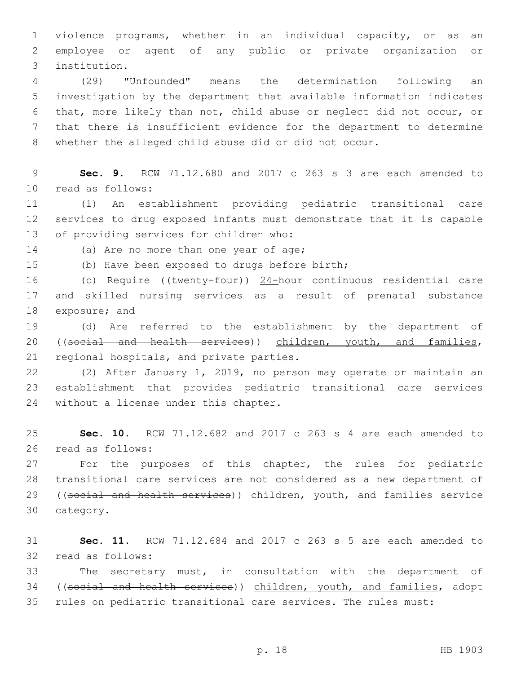1 violence programs, whether in an individual capacity, or as an 2 employee or agent of any public or private organization or institution.3

 (29) "Unfounded" means the determination following an investigation by the department that available information indicates that, more likely than not, child abuse or neglect did not occur, or that there is insufficient evidence for the department to determine whether the alleged child abuse did or did not occur.

9 **Sec. 9.** RCW 71.12.680 and 2017 c 263 s 3 are each amended to read as follows:10

11 (1) An establishment providing pediatric transitional care 12 services to drug exposed infants must demonstrate that it is capable 13 of providing services for children who:

14 (a) Are no more than one year of age;

15 (b) Have been exposed to drugs before birth;

16 (c) Require ((twenty-four)) 24-hour continuous residential care 17 and skilled nursing services as a result of prenatal substance 18 exposure; and

19 (d) Are referred to the establishment by the department of 20 ((social and health services)) children, youth, and families, 21 regional hospitals, and private parties.

22 (2) After January 1, 2019, no person may operate or maintain an 23 establishment that provides pediatric transitional care services 24 without a license under this chapter.

25 **Sec. 10.** RCW 71.12.682 and 2017 c 263 s 4 are each amended to 26 read as follows:

27 For the purposes of this chapter, the rules for pediatric 28 transitional care services are not considered as a new department of 29 ((social and health services)) children, youth, and families service 30 category.

31 **Sec. 11.** RCW 71.12.684 and 2017 c 263 s 5 are each amended to 32 read as follows:

33 The secretary must, in consultation with the department of 34 ((social and health services)) children, youth, and families, adopt 35 rules on pediatric transitional care services. The rules must: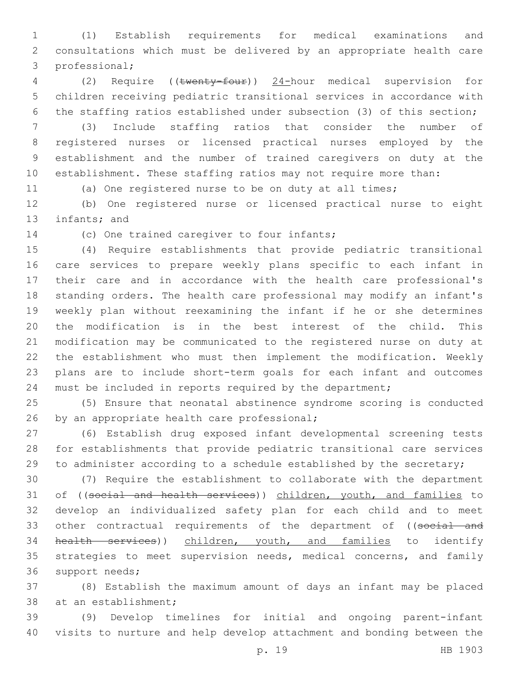(1) Establish requirements for medical examinations and consultations which must be delivered by an appropriate health care 3 professional;

 (2) Require ((twenty-four)) 24-hour medical supervision for children receiving pediatric transitional services in accordance with the staffing ratios established under subsection (3) of this section;

 (3) Include staffing ratios that consider the number of registered nurses or licensed practical nurses employed by the establishment and the number of trained caregivers on duty at the establishment. These staffing ratios may not require more than:

(a) One registered nurse to be on duty at all times;

 (b) One registered nurse or licensed practical nurse to eight 13 infants; and

14 (c) One trained caregiver to four infants;

 (4) Require establishments that provide pediatric transitional care services to prepare weekly plans specific to each infant in their care and in accordance with the health care professional's standing orders. The health care professional may modify an infant's weekly plan without reexamining the infant if he or she determines the modification is in the best interest of the child. This modification may be communicated to the registered nurse on duty at the establishment who must then implement the modification. Weekly plans are to include short-term goals for each infant and outcomes must be included in reports required by the department;

 (5) Ensure that neonatal abstinence syndrome scoring is conducted 26 by an appropriate health care professional;

 (6) Establish drug exposed infant developmental screening tests for establishments that provide pediatric transitional care services to administer according to a schedule established by the secretary;

 (7) Require the establishment to collaborate with the department 31 of ((social and health services)) children, youth, and families to develop an individualized safety plan for each child and to meet 33 other contractual requirements of the department of ((social and health services)) children, youth, and families to identify strategies to meet supervision needs, medical concerns, and family 36 support needs;

 (8) Establish the maximum amount of days an infant may be placed 38 at an establishment;

 (9) Develop timelines for initial and ongoing parent-infant visits to nurture and help develop attachment and bonding between the